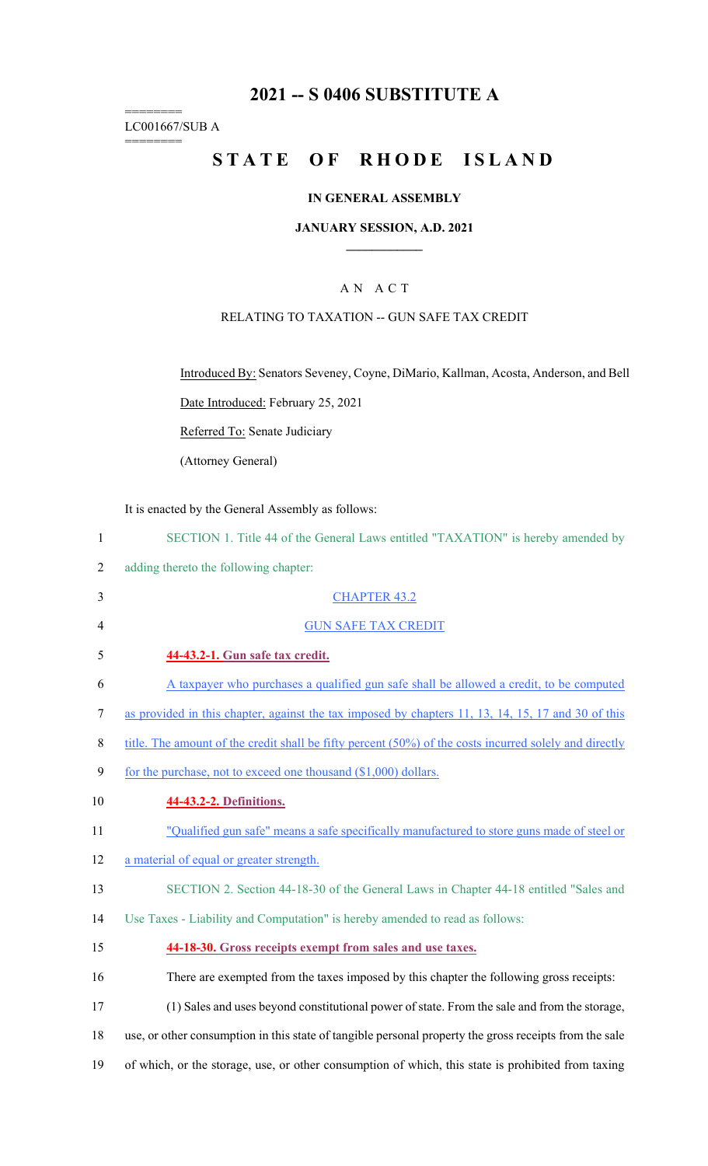## **2021 -- S 0406 SUBSTITUTE A**

======== LC001667/SUB A

========

# **STATE OF RHODE ISLAND**

### **IN GENERAL ASSEMBLY**

#### **JANUARY SESSION, A.D. 2021 \_\_\_\_\_\_\_\_\_\_\_\_**

### A N A C T

### RELATING TO TAXATION -- GUN SAFE TAX CREDIT

Introduced By: Senators Seveney, Coyne, DiMario, Kallman, Acosta, Anderson, and Bell

Date Introduced: February 25, 2021

Referred To: Senate Judiciary

(Attorney General)

It is enacted by the General Assembly as follows:

| $\mathbf{1}$ | SECTION 1. Title 44 of the General Laws entitled "TAXATION" is hereby amended by                       |
|--------------|--------------------------------------------------------------------------------------------------------|
| 2            | adding thereto the following chapter:                                                                  |
| 3            | <b>CHAPTER 43.2</b>                                                                                    |
| 4            | <b>GUN SAFE TAX CREDIT</b>                                                                             |
| 5            | 44-43.2-1. Gun safe tax credit.                                                                        |
| 6            | A taxpayer who purchases a qualified gun safe shall be allowed a credit, to be computed                |
| $\tau$       | as provided in this chapter, against the tax imposed by chapters 11, 13, 14, 15, 17 and 30 of this     |
| 8            | title. The amount of the credit shall be fifty percent (50%) of the costs incurred solely and directly |
| 9            | for the purchase, not to exceed one thousand (\$1,000) dollars.                                        |
| 10           | 44-43.2-2. Definitions.                                                                                |
| 11           | "Qualified gun safe" means a safe specifically manufactured to store guns made of steel or             |
| 12           | a material of equal or greater strength.                                                               |
| 13           | SECTION 2. Section 44-18-30 of the General Laws in Chapter 44-18 entitled "Sales and                   |
| 14           | Use Taxes - Liability and Computation" is hereby amended to read as follows:                           |
| 15           | 44-18-30. Gross receipts exempt from sales and use taxes.                                              |
| 16           | There are exempted from the taxes imposed by this chapter the following gross receipts:                |
| 17           | (1) Sales and uses beyond constitutional power of state. From the sale and from the storage,           |
| 18           | use, or other consumption in this state of tangible personal property the gross receipts from the sale |
| 19           | of which, or the storage, use, or other consumption of which, this state is prohibited from taxing     |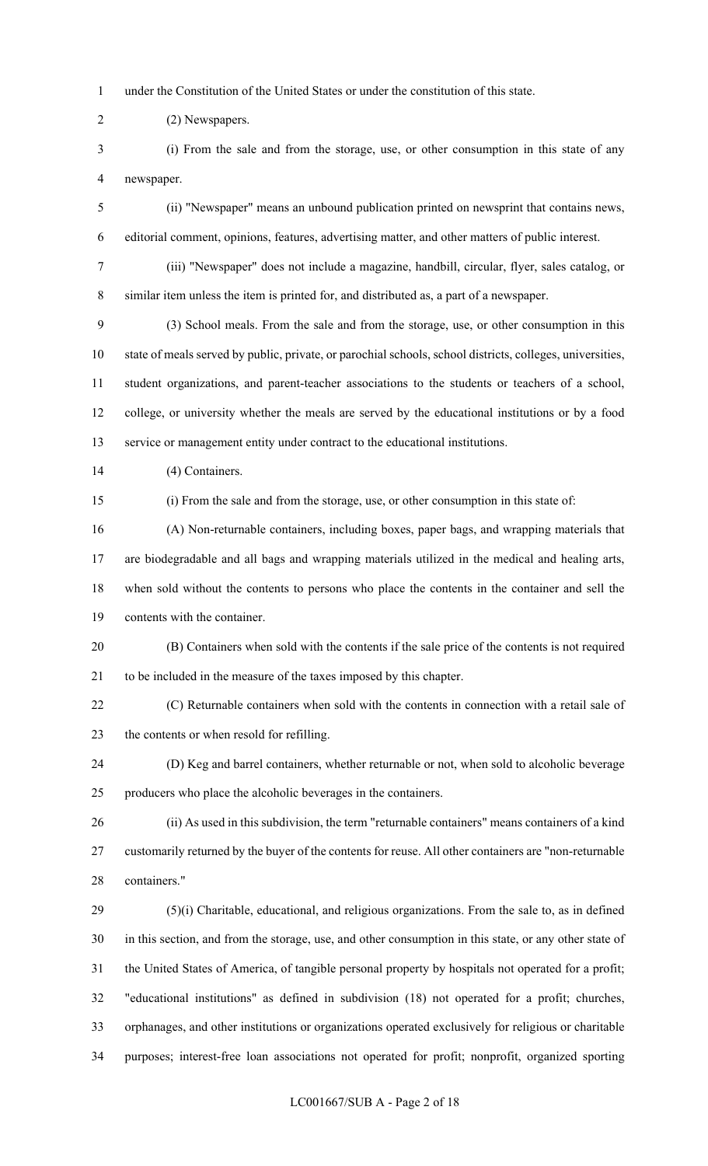1 under the Constitution of the United States or under the constitution of this state.

2 (2) Newspapers.

3 (i) From the sale and from the storage, use, or other consumption in this state of any 4 newspaper.

5 (ii) "Newspaper" means an unbound publication printed on newsprint that contains news, 6 editorial comment, opinions, features, advertising matter, and other matters of public interest.

7 (iii) "Newspaper" does not include a magazine, handbill, circular, flyer, sales catalog, or 8 similar item unless the item is printed for, and distributed as, a part of a newspaper.

9 (3) School meals. From the sale and from the storage, use, or other consumption in this 10 state of meals served by public, private, or parochial schools, school districts, colleges, universities, 11 student organizations, and parent-teacher associations to the students or teachers of a school, 12 college, or university whether the meals are served by the educational institutions or by a food 13 service or management entity under contract to the educational institutions.

14 (4) Containers.

15 (i) From the sale and from the storage, use, or other consumption in this state of:

16 (A) Non-returnable containers, including boxes, paper bags, and wrapping materials that 17 are biodegradable and all bags and wrapping materials utilized in the medical and healing arts, 18 when sold without the contents to persons who place the contents in the container and sell the 19 contents with the container.

20 (B) Containers when sold with the contents if the sale price of the contents is not required 21 to be included in the measure of the taxes imposed by this chapter.

22 (C) Returnable containers when sold with the contents in connection with a retail sale of 23 the contents or when resold for refilling.

24 (D) Keg and barrel containers, whether returnable or not, when sold to alcoholic beverage 25 producers who place the alcoholic beverages in the containers.

26 (ii) As used in this subdivision, the term "returnable containers" means containers of a kind 27 customarily returned by the buyer of the contents for reuse. All other containers are "non-returnable 28 containers."

29 (5)(i) Charitable, educational, and religious organizations. From the sale to, as in defined 30 in this section, and from the storage, use, and other consumption in this state, or any other state of 31 the United States of America, of tangible personal property by hospitals not operated for a profit; 32 "educational institutions" as defined in subdivision (18) not operated for a profit; churches, 33 orphanages, and other institutions or organizations operated exclusively for religious or charitable 34 purposes; interest-free loan associations not operated for profit; nonprofit, organized sporting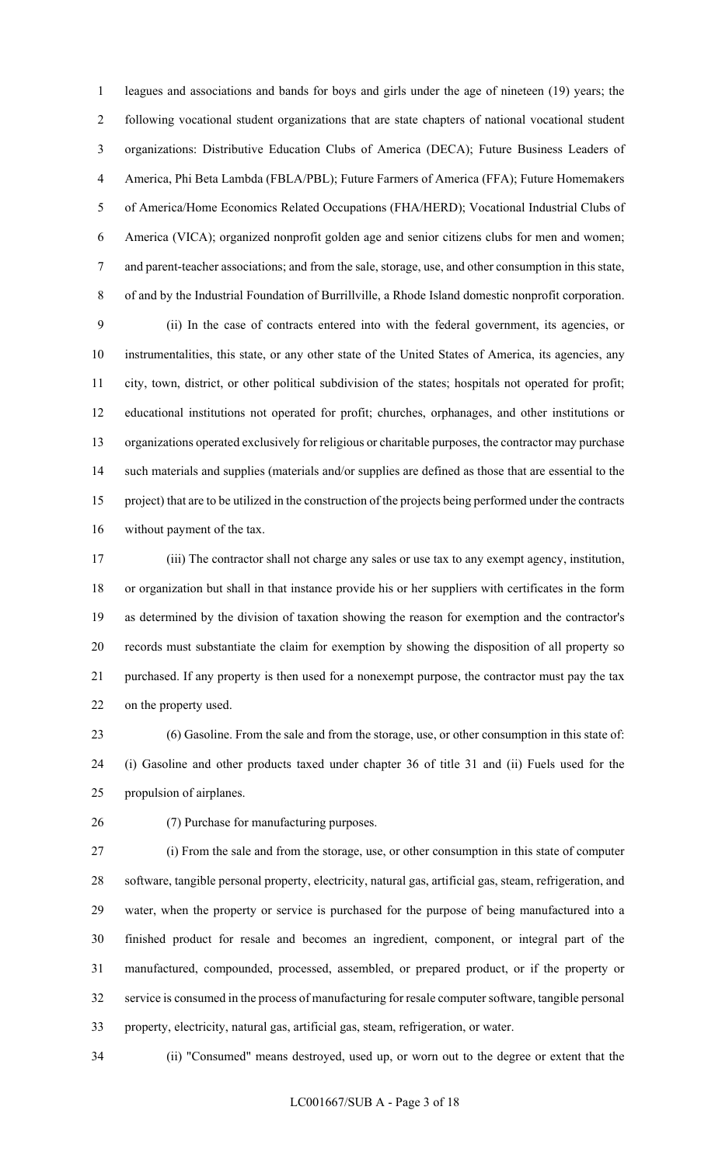1 leagues and associations and bands for boys and girls under the age of nineteen (19) years; the 2 following vocational student organizations that are state chapters of national vocational student 3 organizations: Distributive Education Clubs of America (DECA); Future Business Leaders of 4 America, Phi Beta Lambda (FBLA/PBL); Future Farmers of America (FFA); Future Homemakers 5 of America/Home Economics Related Occupations (FHA/HERD); Vocational Industrial Clubs of 6 America (VICA); organized nonprofit golden age and senior citizens clubs for men and women; 7 and parent-teacher associations; and from the sale, storage, use, and other consumption in this state, 8 of and by the Industrial Foundation of Burrillville, a Rhode Island domestic nonprofit corporation.

9 (ii) In the case of contracts entered into with the federal government, its agencies, or 10 instrumentalities, this state, or any other state of the United States of America, its agencies, any 11 city, town, district, or other political subdivision of the states; hospitals not operated for profit; 12 educational institutions not operated for profit; churches, orphanages, and other institutions or 13 organizations operated exclusively for religious or charitable purposes, the contractor may purchase 14 such materials and supplies (materials and/or supplies are defined as those that are essential to the 15 project) that are to be utilized in the construction of the projects being performed under the contracts 16 without payment of the tax.

17 (iii) The contractor shall not charge any sales or use tax to any exempt agency, institution, 18 or organization but shall in that instance provide his or her suppliers with certificates in the form 19 as determined by the division of taxation showing the reason for exemption and the contractor's 20 records must substantiate the claim for exemption by showing the disposition of all property so 21 purchased. If any property is then used for a nonexempt purpose, the contractor must pay the tax 22 on the property used.

23 (6) Gasoline. From the sale and from the storage, use, or other consumption in this state of: 24 (i) Gasoline and other products taxed under chapter 36 of title 31 and (ii) Fuels used for the 25 propulsion of airplanes.

26 (7) Purchase for manufacturing purposes.

27 (i) From the sale and from the storage, use, or other consumption in this state of computer 28 software, tangible personal property, electricity, natural gas, artificial gas, steam, refrigeration, and 29 water, when the property or service is purchased for the purpose of being manufactured into a 30 finished product for resale and becomes an ingredient, component, or integral part of the 31 manufactured, compounded, processed, assembled, or prepared product, or if the property or 32 service is consumed in the process of manufacturing for resale computer software, tangible personal 33 property, electricity, natural gas, artificial gas, steam, refrigeration, or water.

34 (ii) "Consumed" means destroyed, used up, or worn out to the degree or extent that the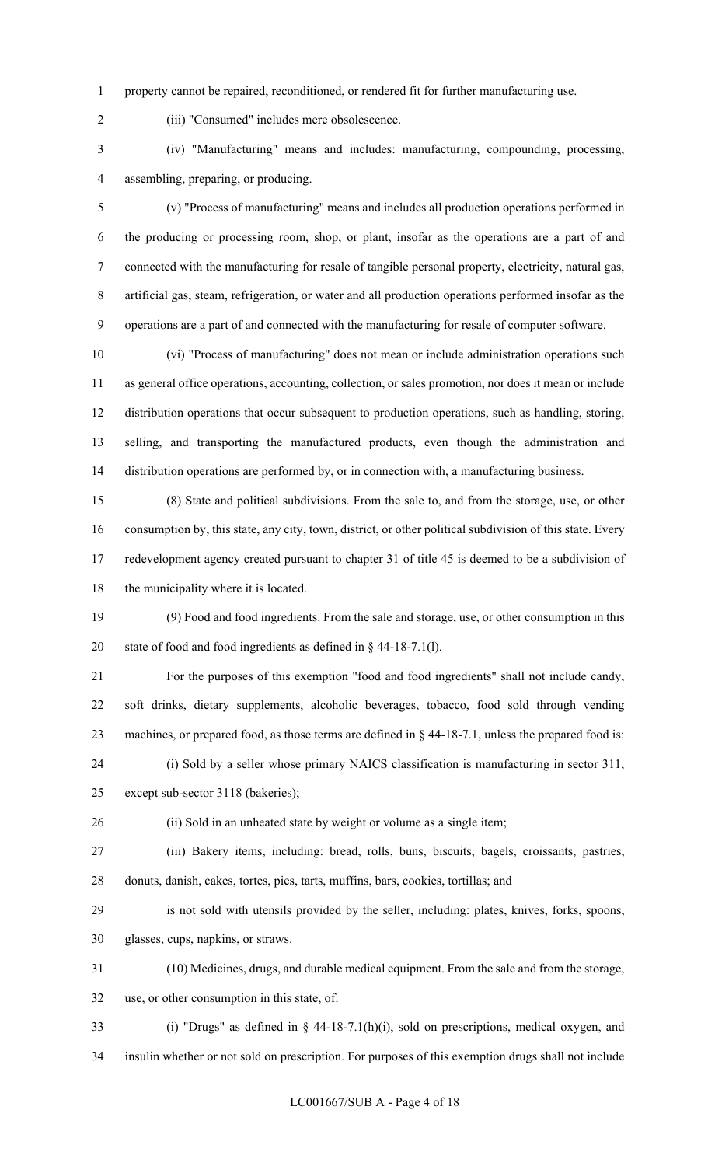1 property cannot be repaired, reconditioned, or rendered fit for further manufacturing use.

2 (iii) "Consumed" includes mere obsolescence.

3 (iv) "Manufacturing" means and includes: manufacturing, compounding, processing, 4 assembling, preparing, or producing.

5 (v) "Process of manufacturing" means and includes all production operations performed in 6 the producing or processing room, shop, or plant, insofar as the operations are a part of and 7 connected with the manufacturing for resale of tangible personal property, electricity, natural gas, 8 artificial gas, steam, refrigeration, or water and all production operations performed insofar as the 9 operations are a part of and connected with the manufacturing for resale of computer software.

10 (vi) "Process of manufacturing" does not mean or include administration operations such 11 as general office operations, accounting, collection, or sales promotion, nor does it mean or include 12 distribution operations that occur subsequent to production operations, such as handling, storing, 13 selling, and transporting the manufactured products, even though the administration and 14 distribution operations are performed by, or in connection with, a manufacturing business.

15 (8) State and political subdivisions. From the sale to, and from the storage, use, or other 16 consumption by, this state, any city, town, district, or other political subdivision of this state. Every 17 redevelopment agency created pursuant to chapter 31 of title 45 is deemed to be a subdivision of 18 the municipality where it is located.

19 (9) Food and food ingredients. From the sale and storage, use, or other consumption in this 20 state of food and food ingredients as defined in § 44-18-7.1(l).

21 For the purposes of this exemption "food and food ingredients" shall not include candy, 22 soft drinks, dietary supplements, alcoholic beverages, tobacco, food sold through vending 23 machines, or prepared food, as those terms are defined in § 44-18-7.1, unless the prepared food is: 24 (i) Sold by a seller whose primary NAICS classification is manufacturing in sector 311,

25 except sub-sector 3118 (bakeries);

26 (ii) Sold in an unheated state by weight or volume as a single item;

27 (iii) Bakery items, including: bread, rolls, buns, biscuits, bagels, croissants, pastries, 28 donuts, danish, cakes, tortes, pies, tarts, muffins, bars, cookies, tortillas; and

29 is not sold with utensils provided by the seller, including: plates, knives, forks, spoons, 30 glasses, cups, napkins, or straws.

31 (10) Medicines, drugs, and durable medical equipment. From the sale and from the storage, 32 use, or other consumption in this state, of:

33 (i) "Drugs" as defined in § 44-18-7.1(h)(i), sold on prescriptions, medical oxygen, and

34 insulin whether or not sold on prescription. For purposes of this exemption drugs shall not include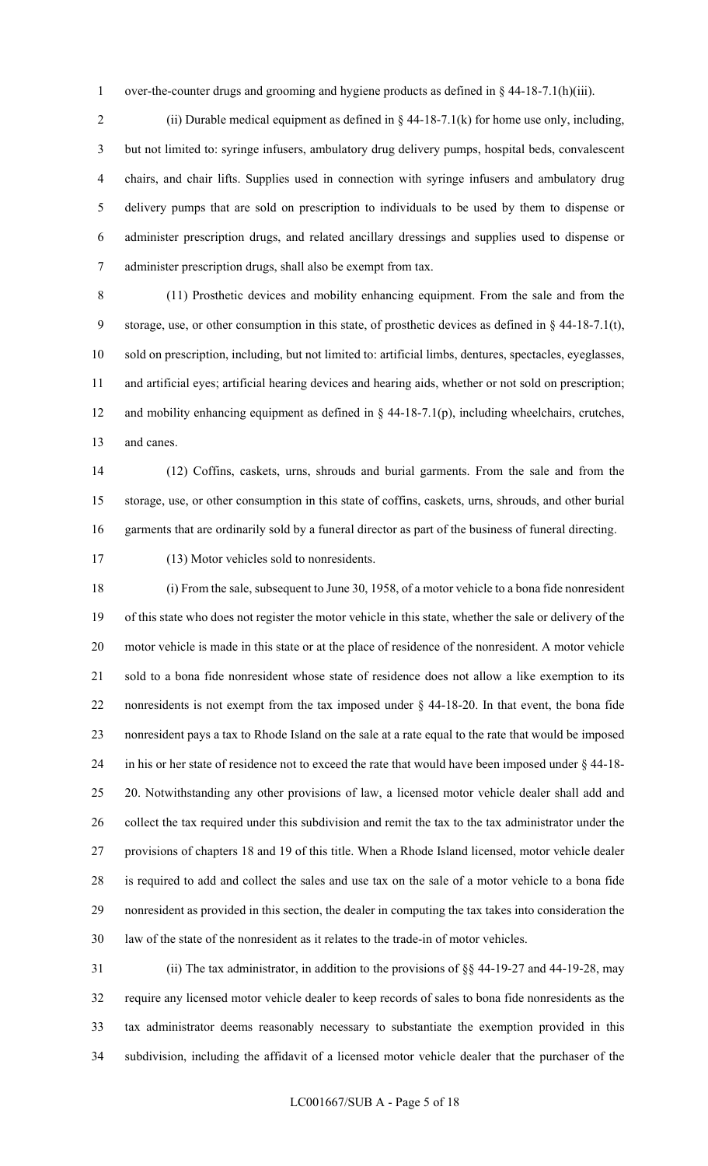1 over-the-counter drugs and grooming and hygiene products as defined in § 44-18-7.1(h)(iii).

2 (ii) Durable medical equipment as defined in  $\S$  44-18-7.1(k) for home use only, including, 3 but not limited to: syringe infusers, ambulatory drug delivery pumps, hospital beds, convalescent 4 chairs, and chair lifts. Supplies used in connection with syringe infusers and ambulatory drug 5 delivery pumps that are sold on prescription to individuals to be used by them to dispense or 6 administer prescription drugs, and related ancillary dressings and supplies used to dispense or 7 administer prescription drugs, shall also be exempt from tax.

8 (11) Prosthetic devices and mobility enhancing equipment. From the sale and from the 9 storage, use, or other consumption in this state, of prosthetic devices as defined in § 44-18-7.1(t), 10 sold on prescription, including, but not limited to: artificial limbs, dentures, spectacles, eyeglasses, 11 and artificial eyes; artificial hearing devices and hearing aids, whether or not sold on prescription; 12 and mobility enhancing equipment as defined in § 44-18-7.1(p), including wheelchairs, crutches, 13 and canes.

14 (12) Coffins, caskets, urns, shrouds and burial garments. From the sale and from the 15 storage, use, or other consumption in this state of coffins, caskets, urns, shrouds, and other burial 16 garments that are ordinarily sold by a funeral director as part of the business of funeral directing.

17 (13) Motor vehicles sold to nonresidents.

18 (i) From the sale, subsequent to June 30, 1958, of a motor vehicle to a bona fide nonresident 19 of this state who does not register the motor vehicle in this state, whether the sale or delivery of the 20 motor vehicle is made in this state or at the place of residence of the nonresident. A motor vehicle 21 sold to a bona fide nonresident whose state of residence does not allow a like exemption to its 22 nonresidents is not exempt from the tax imposed under § 44-18-20. In that event, the bona fide 23 nonresident pays a tax to Rhode Island on the sale at a rate equal to the rate that would be imposed 24 in his or her state of residence not to exceed the rate that would have been imposed under § 44-18- 25 20. Notwithstanding any other provisions of law, a licensed motor vehicle dealer shall add and 26 collect the tax required under this subdivision and remit the tax to the tax administrator under the 27 provisions of chapters 18 and 19 of this title. When a Rhode Island licensed, motor vehicle dealer 28 is required to add and collect the sales and use tax on the sale of a motor vehicle to a bona fide 29 nonresident as provided in this section, the dealer in computing the tax takes into consideration the 30 law of the state of the nonresident as it relates to the trade-in of motor vehicles.

31 (ii) The tax administrator, in addition to the provisions of §§ 44-19-27 and 44-19-28, may 32 require any licensed motor vehicle dealer to keep records of sales to bona fide nonresidents as the 33 tax administrator deems reasonably necessary to substantiate the exemption provided in this 34 subdivision, including the affidavit of a licensed motor vehicle dealer that the purchaser of the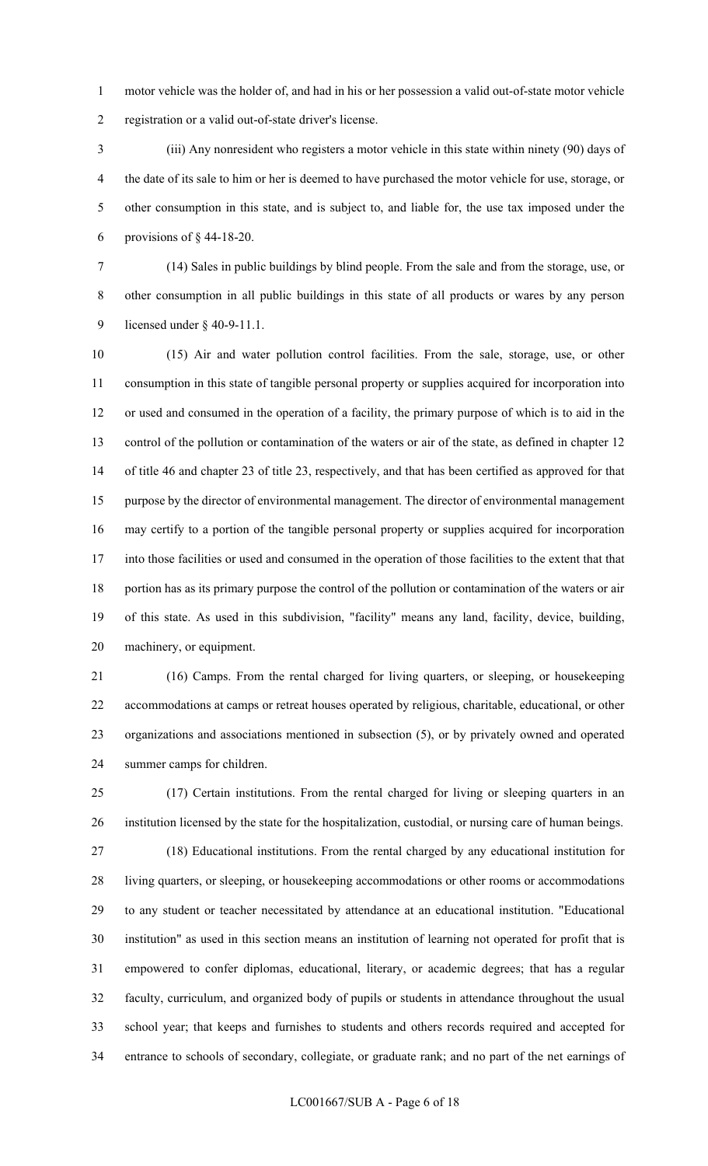1 motor vehicle was the holder of, and had in his or her possession a valid out-of-state motor vehicle 2 registration or a valid out-of-state driver's license.

3 (iii) Any nonresident who registers a motor vehicle in this state within ninety (90) days of 4 the date of its sale to him or her is deemed to have purchased the motor vehicle for use, storage, or 5 other consumption in this state, and is subject to, and liable for, the use tax imposed under the 6 provisions of  $\S$  44-18-20.

7 (14) Sales in public buildings by blind people. From the sale and from the storage, use, or 8 other consumption in all public buildings in this state of all products or wares by any person 9 licensed under § 40-9-11.1.

10 (15) Air and water pollution control facilities. From the sale, storage, use, or other 11 consumption in this state of tangible personal property or supplies acquired for incorporation into 12 or used and consumed in the operation of a facility, the primary purpose of which is to aid in the 13 control of the pollution or contamination of the waters or air of the state, as defined in chapter 12 14 of title 46 and chapter 23 of title 23, respectively, and that has been certified as approved for that 15 purpose by the director of environmental management. The director of environmental management 16 may certify to a portion of the tangible personal property or supplies acquired for incorporation 17 into those facilities or used and consumed in the operation of those facilities to the extent that that 18 portion has as its primary purpose the control of the pollution or contamination of the waters or air 19 of this state. As used in this subdivision, "facility" means any land, facility, device, building, 20 machinery, or equipment.

21 (16) Camps. From the rental charged for living quarters, or sleeping, or housekeeping 22 accommodations at camps or retreat houses operated by religious, charitable, educational, or other 23 organizations and associations mentioned in subsection (5), or by privately owned and operated 24 summer camps for children.

25 (17) Certain institutions. From the rental charged for living or sleeping quarters in an 26 institution licensed by the state for the hospitalization, custodial, or nursing care of human beings. 27 (18) Educational institutions. From the rental charged by any educational institution for 28 living quarters, or sleeping, or housekeeping accommodations or other rooms or accommodations 29 to any student or teacher necessitated by attendance at an educational institution. "Educational 30 institution" as used in this section means an institution of learning not operated for profit that is 31 empowered to confer diplomas, educational, literary, or academic degrees; that has a regular 32 faculty, curriculum, and organized body of pupils or students in attendance throughout the usual 33 school year; that keeps and furnishes to students and others records required and accepted for 34 entrance to schools of secondary, collegiate, or graduate rank; and no part of the net earnings of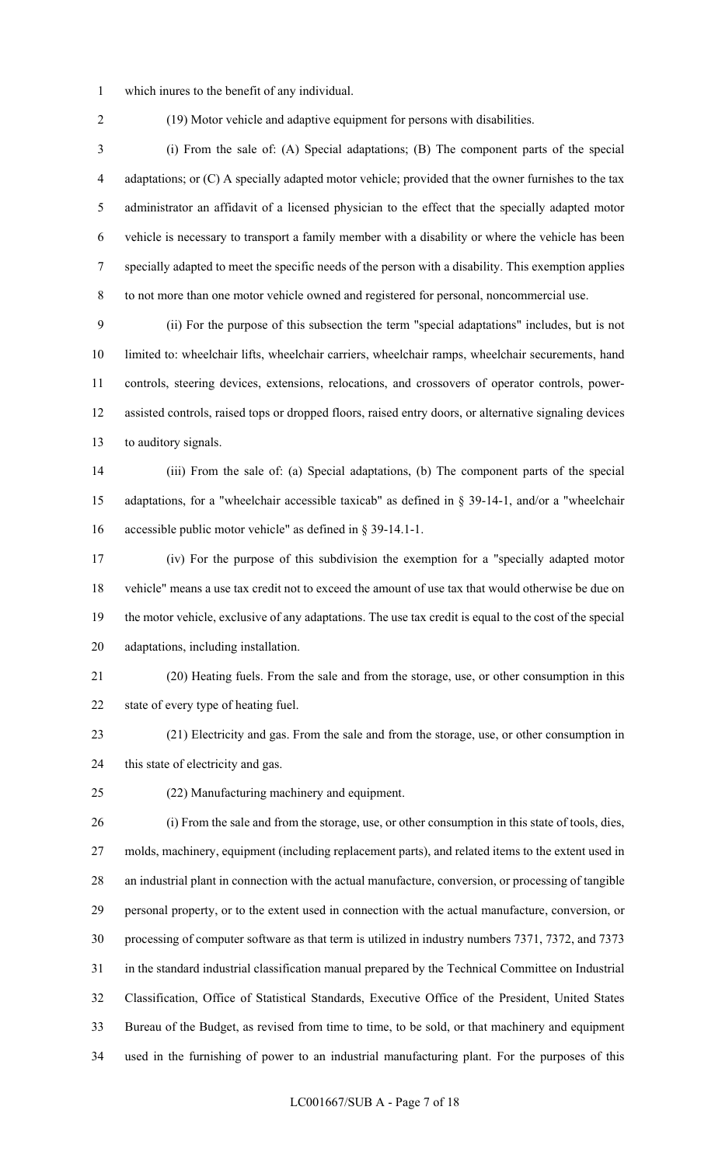- 1 which inures to the benefit of any individual.
- 

2 (19) Motor vehicle and adaptive equipment for persons with disabilities.

3 (i) From the sale of: (A) Special adaptations; (B) The component parts of the special 4 adaptations; or (C) A specially adapted motor vehicle; provided that the owner furnishes to the tax 5 administrator an affidavit of a licensed physician to the effect that the specially adapted motor 6 vehicle is necessary to transport a family member with a disability or where the vehicle has been 7 specially adapted to meet the specific needs of the person with a disability. This exemption applies 8 to not more than one motor vehicle owned and registered for personal, noncommercial use.

9 (ii) For the purpose of this subsection the term "special adaptations" includes, but is not 10 limited to: wheelchair lifts, wheelchair carriers, wheelchair ramps, wheelchair securements, hand 11 controls, steering devices, extensions, relocations, and crossovers of operator controls, power-12 assisted controls, raised tops or dropped floors, raised entry doors, or alternative signaling devices 13 to auditory signals.

14 (iii) From the sale of: (a) Special adaptations, (b) The component parts of the special 15 adaptations, for a "wheelchair accessible taxicab" as defined in § 39-14-1, and/or a "wheelchair 16 accessible public motor vehicle" as defined in § 39-14.1-1.

17 (iv) For the purpose of this subdivision the exemption for a "specially adapted motor 18 vehicle" means a use tax credit not to exceed the amount of use tax that would otherwise be due on 19 the motor vehicle, exclusive of any adaptations. The use tax credit is equal to the cost of the special 20 adaptations, including installation.

21 (20) Heating fuels. From the sale and from the storage, use, or other consumption in this 22 state of every type of heating fuel.

23 (21) Electricity and gas. From the sale and from the storage, use, or other consumption in 24 this state of electricity and gas.

25 (22) Manufacturing machinery and equipment.

26 (i) From the sale and from the storage, use, or other consumption in this state of tools, dies, 27 molds, machinery, equipment (including replacement parts), and related items to the extent used in 28 an industrial plant in connection with the actual manufacture, conversion, or processing of tangible 29 personal property, or to the extent used in connection with the actual manufacture, conversion, or 30 processing of computer software as that term is utilized in industry numbers 7371, 7372, and 7373 31 in the standard industrial classification manual prepared by the Technical Committee on Industrial 32 Classification, Office of Statistical Standards, Executive Office of the President, United States 33 Bureau of the Budget, as revised from time to time, to be sold, or that machinery and equipment 34 used in the furnishing of power to an industrial manufacturing plant. For the purposes of this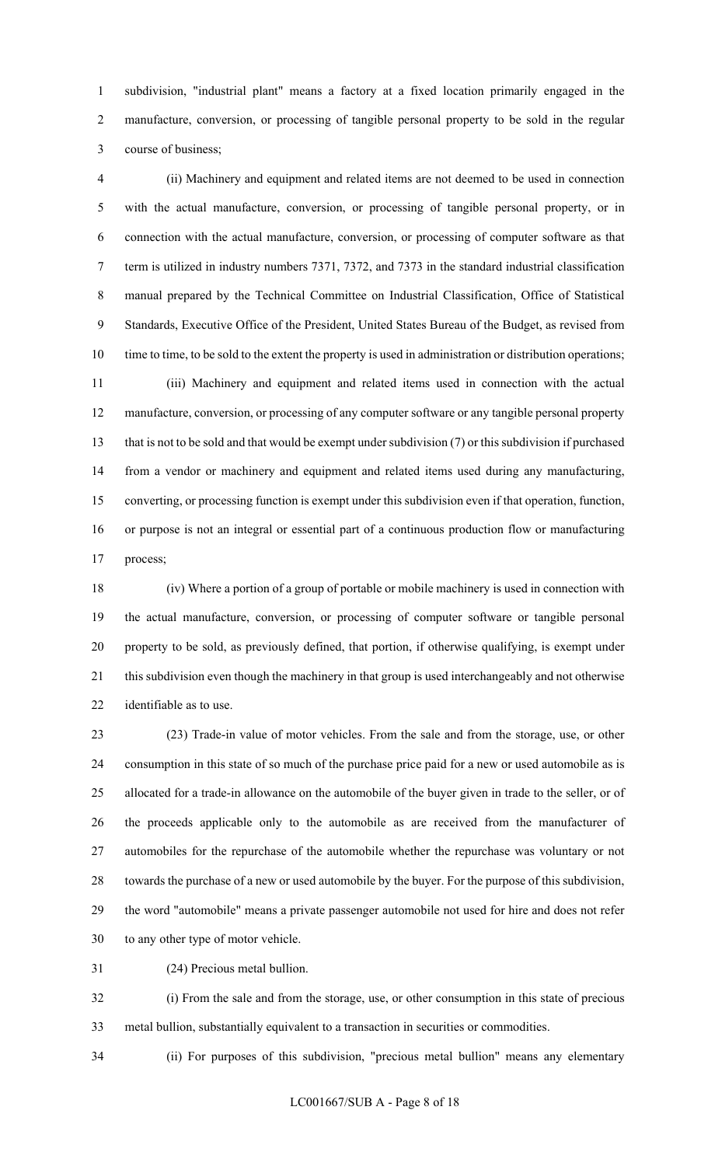1 subdivision, "industrial plant" means a factory at a fixed location primarily engaged in the 2 manufacture, conversion, or processing of tangible personal property to be sold in the regular 3 course of business;

4 (ii) Machinery and equipment and related items are not deemed to be used in connection 5 with the actual manufacture, conversion, or processing of tangible personal property, or in 6 connection with the actual manufacture, conversion, or processing of computer software as that 7 term is utilized in industry numbers 7371, 7372, and 7373 in the standard industrial classification 8 manual prepared by the Technical Committee on Industrial Classification, Office of Statistical 9 Standards, Executive Office of the President, United States Bureau of the Budget, as revised from 10 time to time, to be sold to the extent the property is used in administration or distribution operations; 11 (iii) Machinery and equipment and related items used in connection with the actual 12 manufacture, conversion, or processing of any computer software or any tangible personal property 13 that is not to be sold and that would be exempt under subdivision (7) or this subdivision if purchased 14 from a vendor or machinery and equipment and related items used during any manufacturing, 15 converting, or processing function is exempt under this subdivision even if that operation, function, 16 or purpose is not an integral or essential part of a continuous production flow or manufacturing 17 process;

18 (iv) Where a portion of a group of portable or mobile machinery is used in connection with 19 the actual manufacture, conversion, or processing of computer software or tangible personal 20 property to be sold, as previously defined, that portion, if otherwise qualifying, is exempt under 21 this subdivision even though the machinery in that group is used interchangeably and not otherwise 22 identifiable as to use.

23 (23) Trade-in value of motor vehicles. From the sale and from the storage, use, or other 24 consumption in this state of so much of the purchase price paid for a new or used automobile as is 25 allocated for a trade-in allowance on the automobile of the buyer given in trade to the seller, or of 26 the proceeds applicable only to the automobile as are received from the manufacturer of 27 automobiles for the repurchase of the automobile whether the repurchase was voluntary or not 28 towards the purchase of a new or used automobile by the buyer. For the purpose of this subdivision, 29 the word "automobile" means a private passenger automobile not used for hire and does not refer 30 to any other type of motor vehicle.

31 (24) Precious metal bullion.

32 (i) From the sale and from the storage, use, or other consumption in this state of precious 33 metal bullion, substantially equivalent to a transaction in securities or commodities.

34 (ii) For purposes of this subdivision, "precious metal bullion" means any elementary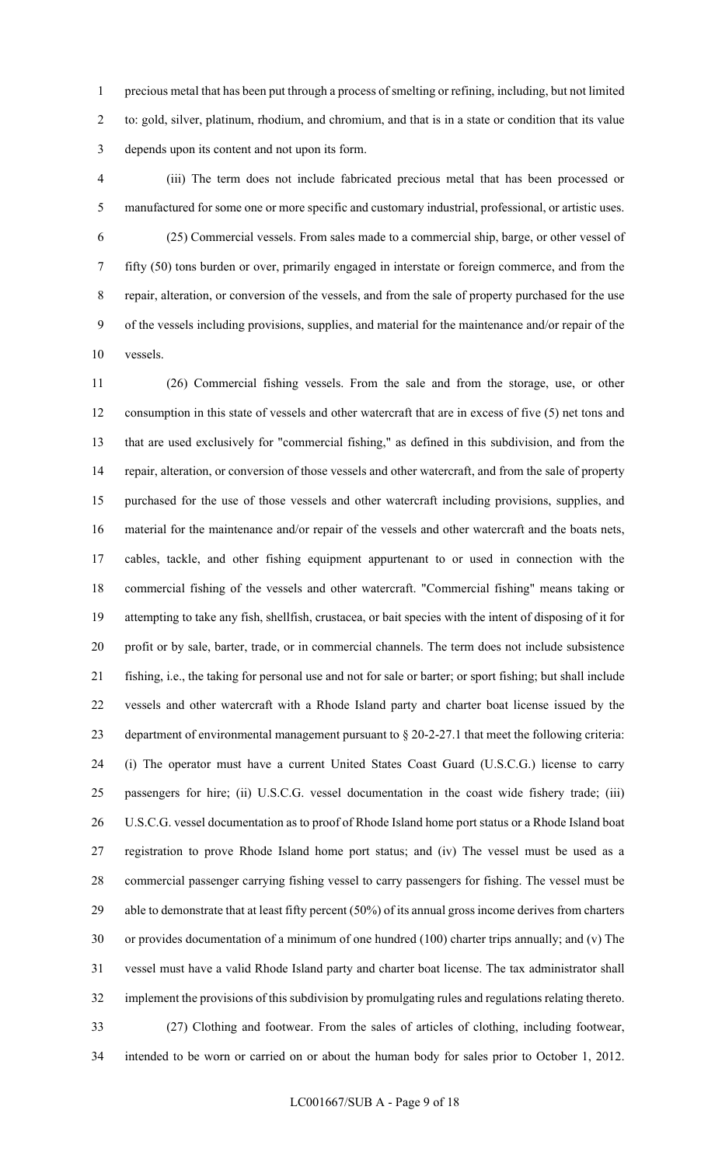1 precious metal that has been put through a process of smelting or refining, including, but not limited 2 to: gold, silver, platinum, rhodium, and chromium, and that is in a state or condition that its value 3 depends upon its content and not upon its form.

- 4 (iii) The term does not include fabricated precious metal that has been processed or 5 manufactured for some one or more specific and customary industrial, professional, or artistic uses.
- 6 (25) Commercial vessels. From sales made to a commercial ship, barge, or other vessel of 7 fifty (50) tons burden or over, primarily engaged in interstate or foreign commerce, and from the 8 repair, alteration, or conversion of the vessels, and from the sale of property purchased for the use 9 of the vessels including provisions, supplies, and material for the maintenance and/or repair of the 10 vessels.

11 (26) Commercial fishing vessels. From the sale and from the storage, use, or other 12 consumption in this state of vessels and other watercraft that are in excess of five (5) net tons and 13 that are used exclusively for "commercial fishing," as defined in this subdivision, and from the 14 repair, alteration, or conversion of those vessels and other watercraft, and from the sale of property 15 purchased for the use of those vessels and other watercraft including provisions, supplies, and 16 material for the maintenance and/or repair of the vessels and other watercraft and the boats nets, 17 cables, tackle, and other fishing equipment appurtenant to or used in connection with the 18 commercial fishing of the vessels and other watercraft. "Commercial fishing" means taking or 19 attempting to take any fish, shellfish, crustacea, or bait species with the intent of disposing of it for 20 profit or by sale, barter, trade, or in commercial channels. The term does not include subsistence 21 fishing, i.e., the taking for personal use and not for sale or barter; or sport fishing; but shall include 22 vessels and other watercraft with a Rhode Island party and charter boat license issued by the 23 department of environmental management pursuant to § 20-2-27.1 that meet the following criteria: 24 (i) The operator must have a current United States Coast Guard (U.S.C.G.) license to carry 25 passengers for hire; (ii) U.S.C.G. vessel documentation in the coast wide fishery trade; (iii) 26 U.S.C.G. vessel documentation as to proof of Rhode Island home port status or a Rhode Island boat 27 registration to prove Rhode Island home port status; and (iv) The vessel must be used as a 28 commercial passenger carrying fishing vessel to carry passengers for fishing. The vessel must be 29 able to demonstrate that at least fifty percent (50%) of its annual gross income derives from charters 30 or provides documentation of a minimum of one hundred (100) charter trips annually; and (v) The 31 vessel must have a valid Rhode Island party and charter boat license. The tax administrator shall 32 implement the provisions of this subdivision by promulgating rules and regulations relating thereto. 33 (27) Clothing and footwear. From the sales of articles of clothing, including footwear,

34 intended to be worn or carried on or about the human body for sales prior to October 1, 2012.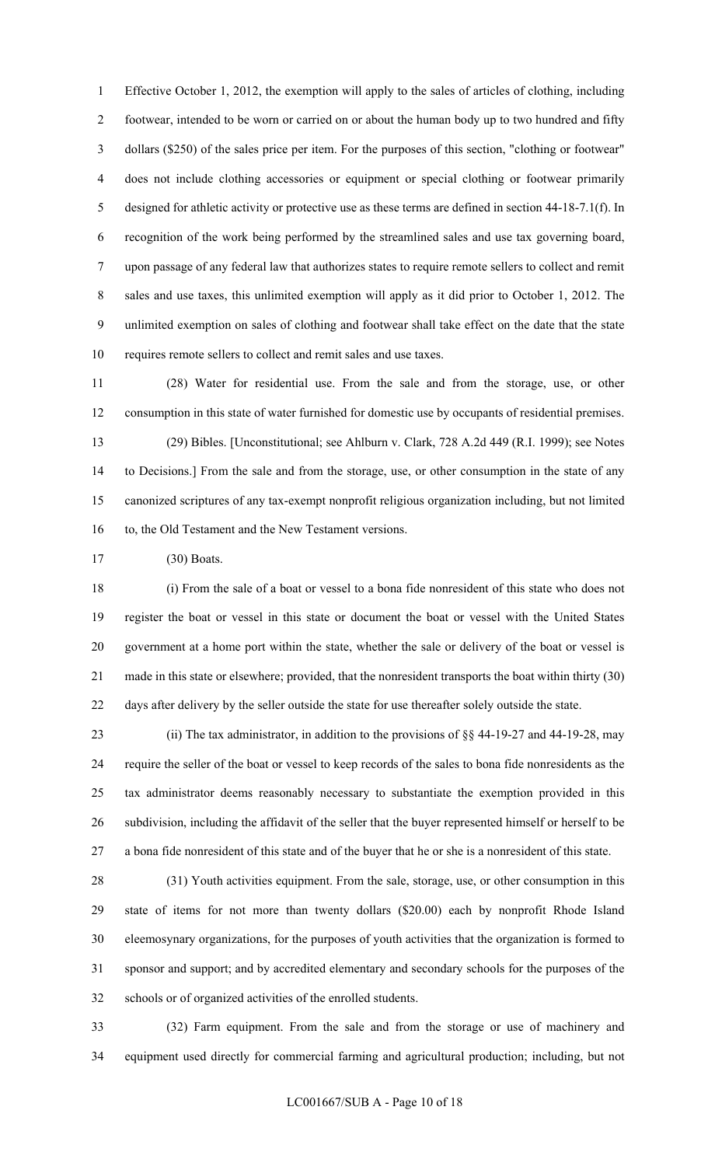1 Effective October 1, 2012, the exemption will apply to the sales of articles of clothing, including 2 footwear, intended to be worn or carried on or about the human body up to two hundred and fifty 3 dollars (\$250) of the sales price per item. For the purposes of this section, "clothing or footwear" 4 does not include clothing accessories or equipment or special clothing or footwear primarily 5 designed for athletic activity or protective use as these terms are defined in section 44-18-7.1(f). In 6 recognition of the work being performed by the streamlined sales and use tax governing board, 7 upon passage of any federal law that authorizes states to require remote sellers to collect and remit 8 sales and use taxes, this unlimited exemption will apply as it did prior to October 1, 2012. The 9 unlimited exemption on sales of clothing and footwear shall take effect on the date that the state 10 requires remote sellers to collect and remit sales and use taxes.

11 (28) Water for residential use. From the sale and from the storage, use, or other 12 consumption in this state of water furnished for domestic use by occupants of residential premises. 13 (29) Bibles. [Unconstitutional; see Ahlburn v. Clark, 728 A.2d 449 (R.I. 1999); see Notes 14 to Decisions.] From the sale and from the storage, use, or other consumption in the state of any 15 canonized scriptures of any tax-exempt nonprofit religious organization including, but not limited 16 to, the Old Testament and the New Testament versions.

17 (30) Boats.

18 (i) From the sale of a boat or vessel to a bona fide nonresident of this state who does not 19 register the boat or vessel in this state or document the boat or vessel with the United States 20 government at a home port within the state, whether the sale or delivery of the boat or vessel is 21 made in this state or elsewhere; provided, that the nonresident transports the boat within thirty (30) 22 days after delivery by the seller outside the state for use thereafter solely outside the state.

23 (ii) The tax administrator, in addition to the provisions of §§ 44-19-27 and 44-19-28, may 24 require the seller of the boat or vessel to keep records of the sales to bona fide nonresidents as the 25 tax administrator deems reasonably necessary to substantiate the exemption provided in this 26 subdivision, including the affidavit of the seller that the buyer represented himself or herself to be 27 a bona fide nonresident of this state and of the buyer that he or she is a nonresident of this state.

28 (31) Youth activities equipment. From the sale, storage, use, or other consumption in this 29 state of items for not more than twenty dollars (\$20.00) each by nonprofit Rhode Island 30 eleemosynary organizations, for the purposes of youth activities that the organization is formed to 31 sponsor and support; and by accredited elementary and secondary schools for the purposes of the 32 schools or of organized activities of the enrolled students.

33 (32) Farm equipment. From the sale and from the storage or use of machinery and 34 equipment used directly for commercial farming and agricultural production; including, but not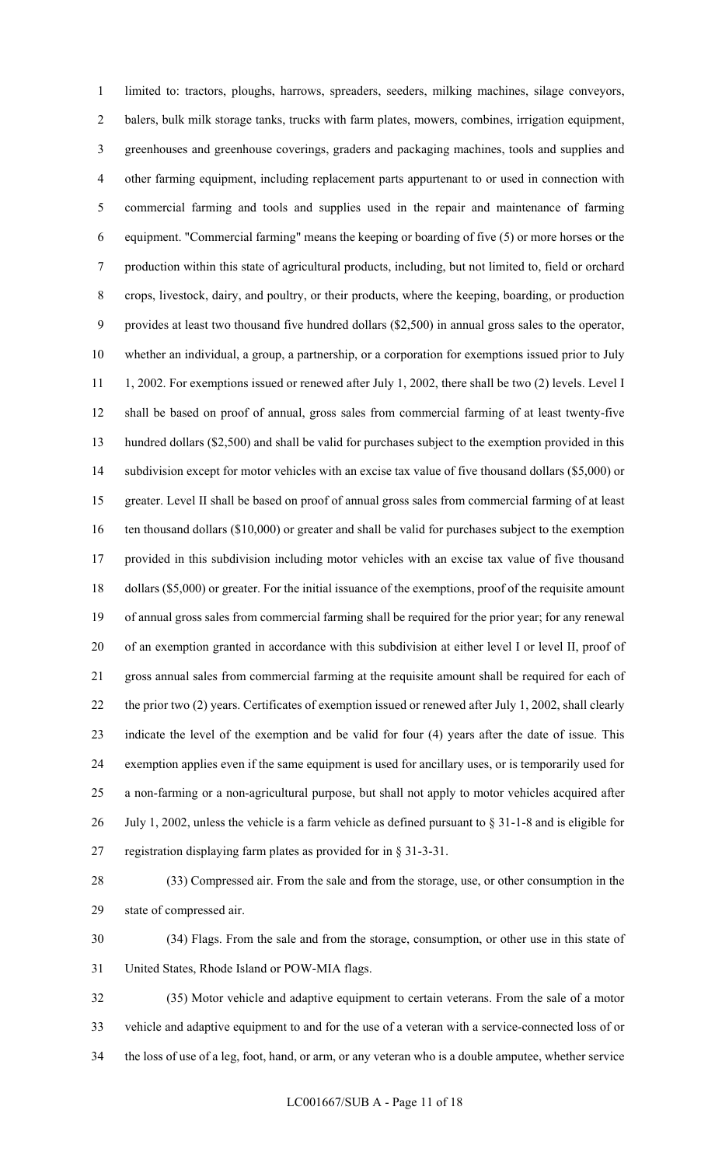1 limited to: tractors, ploughs, harrows, spreaders, seeders, milking machines, silage conveyors, 2 balers, bulk milk storage tanks, trucks with farm plates, mowers, combines, irrigation equipment, 3 greenhouses and greenhouse coverings, graders and packaging machines, tools and supplies and 4 other farming equipment, including replacement parts appurtenant to or used in connection with 5 commercial farming and tools and supplies used in the repair and maintenance of farming 6 equipment. "Commercial farming" means the keeping or boarding of five (5) or more horses or the 7 production within this state of agricultural products, including, but not limited to, field or orchard 8 crops, livestock, dairy, and poultry, or their products, where the keeping, boarding, or production 9 provides at least two thousand five hundred dollars (\$2,500) in annual gross sales to the operator, 10 whether an individual, a group, a partnership, or a corporation for exemptions issued prior to July 11 1, 2002. For exemptions issued or renewed after July 1, 2002, there shall be two (2) levels. Level I 12 shall be based on proof of annual, gross sales from commercial farming of at least twenty-five 13 hundred dollars (\$2,500) and shall be valid for purchases subject to the exemption provided in this 14 subdivision except for motor vehicles with an excise tax value of five thousand dollars (\$5,000) or 15 greater. Level II shall be based on proof of annual gross sales from commercial farming of at least 16 ten thousand dollars (\$10,000) or greater and shall be valid for purchases subject to the exemption 17 provided in this subdivision including motor vehicles with an excise tax value of five thousand 18 dollars (\$5,000) or greater. For the initial issuance of the exemptions, proof of the requisite amount 19 of annual gross sales from commercial farming shall be required for the prior year; for any renewal 20 of an exemption granted in accordance with this subdivision at either level I or level II, proof of 21 gross annual sales from commercial farming at the requisite amount shall be required for each of 22 the prior two (2) years. Certificates of exemption issued or renewed after July 1, 2002, shall clearly 23 indicate the level of the exemption and be valid for four (4) years after the date of issue. This 24 exemption applies even if the same equipment is used for ancillary uses, or is temporarily used for 25 a non-farming or a non-agricultural purpose, but shall not apply to motor vehicles acquired after 26 July 1, 2002, unless the vehicle is a farm vehicle as defined pursuant to § 31-1-8 and is eligible for 27 registration displaying farm plates as provided for in § 31-3-31.

28 (33) Compressed air. From the sale and from the storage, use, or other consumption in the 29 state of compressed air.

30 (34) Flags. From the sale and from the storage, consumption, or other use in this state of 31 United States, Rhode Island or POW-MIA flags.

32 (35) Motor vehicle and adaptive equipment to certain veterans. From the sale of a motor 33 vehicle and adaptive equipment to and for the use of a veteran with a service-connected loss of or 34 the loss of use of a leg, foot, hand, or arm, or any veteran who is a double amputee, whether service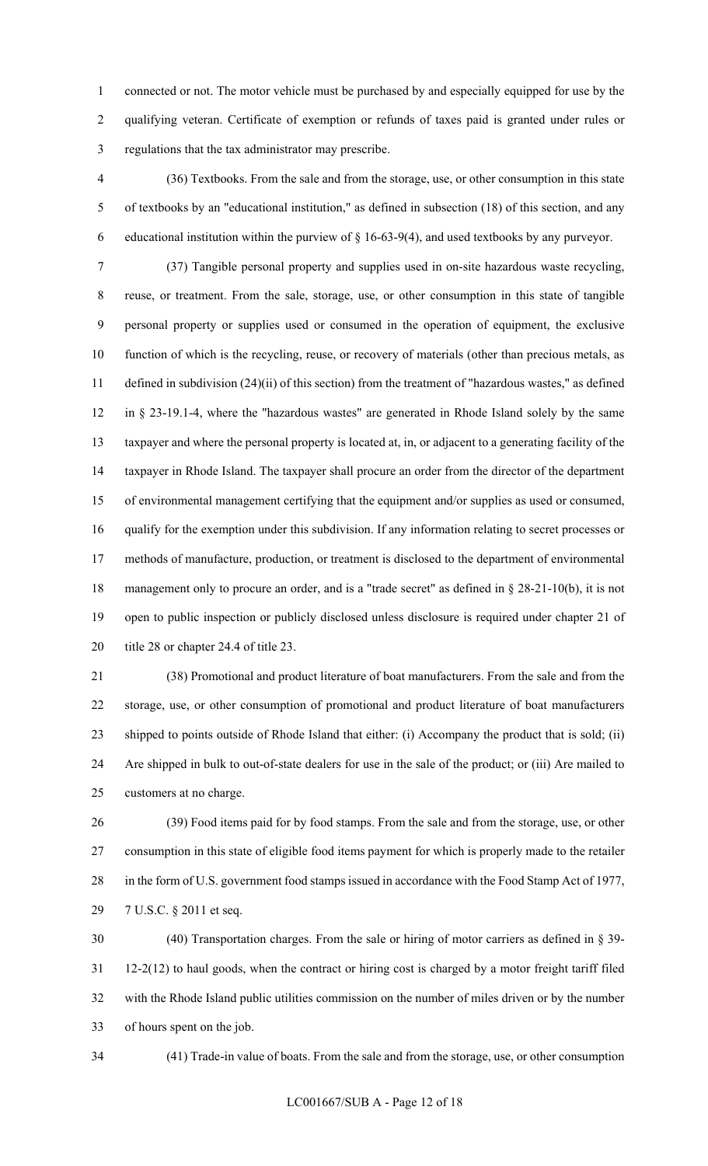1 connected or not. The motor vehicle must be purchased by and especially equipped for use by the 2 qualifying veteran. Certificate of exemption or refunds of taxes paid is granted under rules or 3 regulations that the tax administrator may prescribe.

4 (36) Textbooks. From the sale and from the storage, use, or other consumption in this state 5 of textbooks by an "educational institution," as defined in subsection (18) of this section, and any 6 educational institution within the purview of  $\S$  16-63-9(4), and used textbooks by any purveyor.

7 (37) Tangible personal property and supplies used in on-site hazardous waste recycling, 8 reuse, or treatment. From the sale, storage, use, or other consumption in this state of tangible 9 personal property or supplies used or consumed in the operation of equipment, the exclusive 10 function of which is the recycling, reuse, or recovery of materials (other than precious metals, as 11 defined in subdivision (24)(ii) of this section) from the treatment of "hazardous wastes," as defined 12 in § 23-19.1-4, where the "hazardous wastes" are generated in Rhode Island solely by the same 13 taxpayer and where the personal property is located at, in, or adjacent to a generating facility of the 14 taxpayer in Rhode Island. The taxpayer shall procure an order from the director of the department 15 of environmental management certifying that the equipment and/or supplies as used or consumed, 16 qualify for the exemption under this subdivision. If any information relating to secret processes or 17 methods of manufacture, production, or treatment is disclosed to the department of environmental 18 management only to procure an order, and is a "trade secret" as defined in § 28-21-10(b), it is not 19 open to public inspection or publicly disclosed unless disclosure is required under chapter 21 of 20 title 28 or chapter 24.4 of title 23.

21 (38) Promotional and product literature of boat manufacturers. From the sale and from the 22 storage, use, or other consumption of promotional and product literature of boat manufacturers 23 shipped to points outside of Rhode Island that either: (i) Accompany the product that is sold; (ii) 24 Are shipped in bulk to out-of-state dealers for use in the sale of the product; or (iii) Are mailed to 25 customers at no charge.

26 (39) Food items paid for by food stamps. From the sale and from the storage, use, or other 27 consumption in this state of eligible food items payment for which is properly made to the retailer 28 in the form of U.S. government food stamps issued in accordance with the Food Stamp Act of 1977, 29 7 U.S.C. § 2011 et seq.

30 (40) Transportation charges. From the sale or hiring of motor carriers as defined in § 39- 31 12-2(12) to haul goods, when the contract or hiring cost is charged by a motor freight tariff filed 32 with the Rhode Island public utilities commission on the number of miles driven or by the number 33 of hours spent on the job.

34 (41) Trade-in value of boats. From the sale and from the storage, use, or other consumption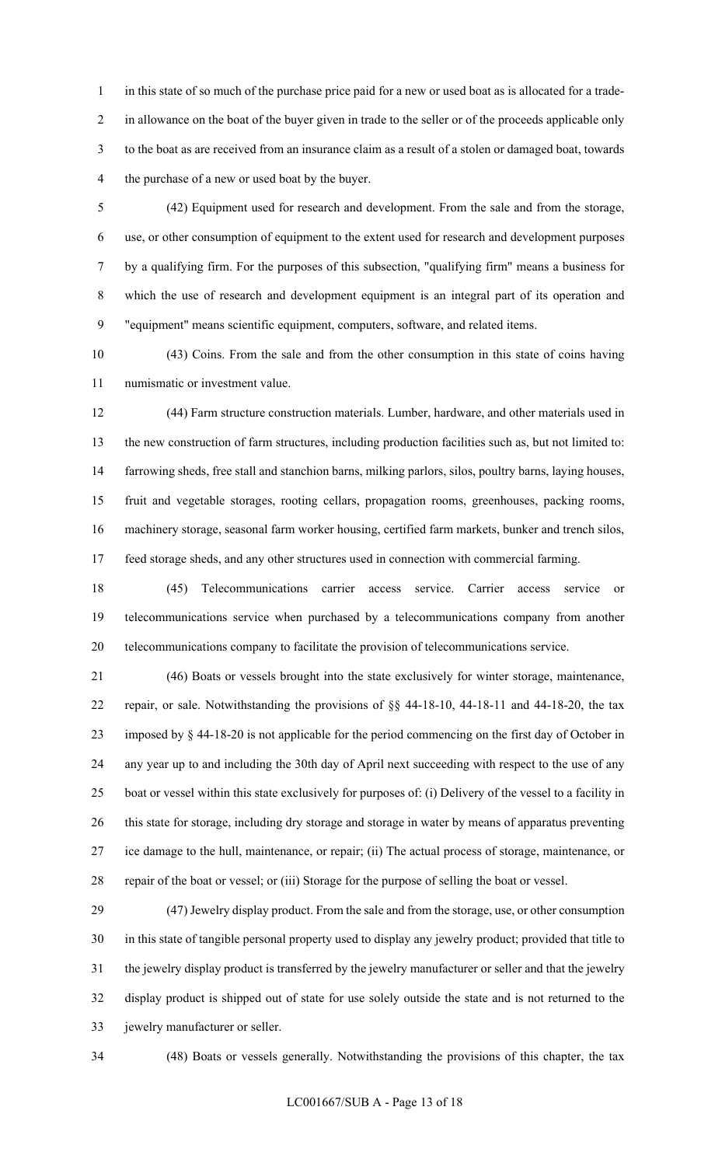1 in this state of so much of the purchase price paid for a new or used boat as is allocated for a trade-2 in allowance on the boat of the buyer given in trade to the seller or of the proceeds applicable only 3 to the boat as are received from an insurance claim as a result of a stolen or damaged boat, towards 4 the purchase of a new or used boat by the buyer.

5 (42) Equipment used for research and development. From the sale and from the storage, 6 use, or other consumption of equipment to the extent used for research and development purposes 7 by a qualifying firm. For the purposes of this subsection, "qualifying firm" means a business for 8 which the use of research and development equipment is an integral part of its operation and 9 "equipment" means scientific equipment, computers, software, and related items.

10 (43) Coins. From the sale and from the other consumption in this state of coins having 11 numismatic or investment value.

12 (44) Farm structure construction materials. Lumber, hardware, and other materials used in 13 the new construction of farm structures, including production facilities such as, but not limited to: 14 farrowing sheds, free stall and stanchion barns, milking parlors, silos, poultry barns, laying houses, 15 fruit and vegetable storages, rooting cellars, propagation rooms, greenhouses, packing rooms, 16 machinery storage, seasonal farm worker housing, certified farm markets, bunker and trench silos, 17 feed storage sheds, and any other structures used in connection with commercial farming.

18 (45) Telecommunications carrier access service. Carrier access service or 19 telecommunications service when purchased by a telecommunications company from another 20 telecommunications company to facilitate the provision of telecommunications service.

21 (46) Boats or vessels brought into the state exclusively for winter storage, maintenance, 22 repair, or sale. Notwithstanding the provisions of §§ 44-18-10, 44-18-11 and 44-18-20, the tax 23 imposed by § 44-18-20 is not applicable for the period commencing on the first day of October in 24 any year up to and including the 30th day of April next succeeding with respect to the use of any 25 boat or vessel within this state exclusively for purposes of: (i) Delivery of the vessel to a facility in 26 this state for storage, including dry storage and storage in water by means of apparatus preventing 27 ice damage to the hull, maintenance, or repair; (ii) The actual process of storage, maintenance, or 28 repair of the boat or vessel; or (iii) Storage for the purpose of selling the boat or vessel.

29 (47) Jewelry display product. From the sale and from the storage, use, or other consumption 30 in this state of tangible personal property used to display any jewelry product; provided that title to 31 the jewelry display product is transferred by the jewelry manufacturer or seller and that the jewelry 32 display product is shipped out of state for use solely outside the state and is not returned to the 33 jewelry manufacturer or seller.

34 (48) Boats or vessels generally. Notwithstanding the provisions of this chapter, the tax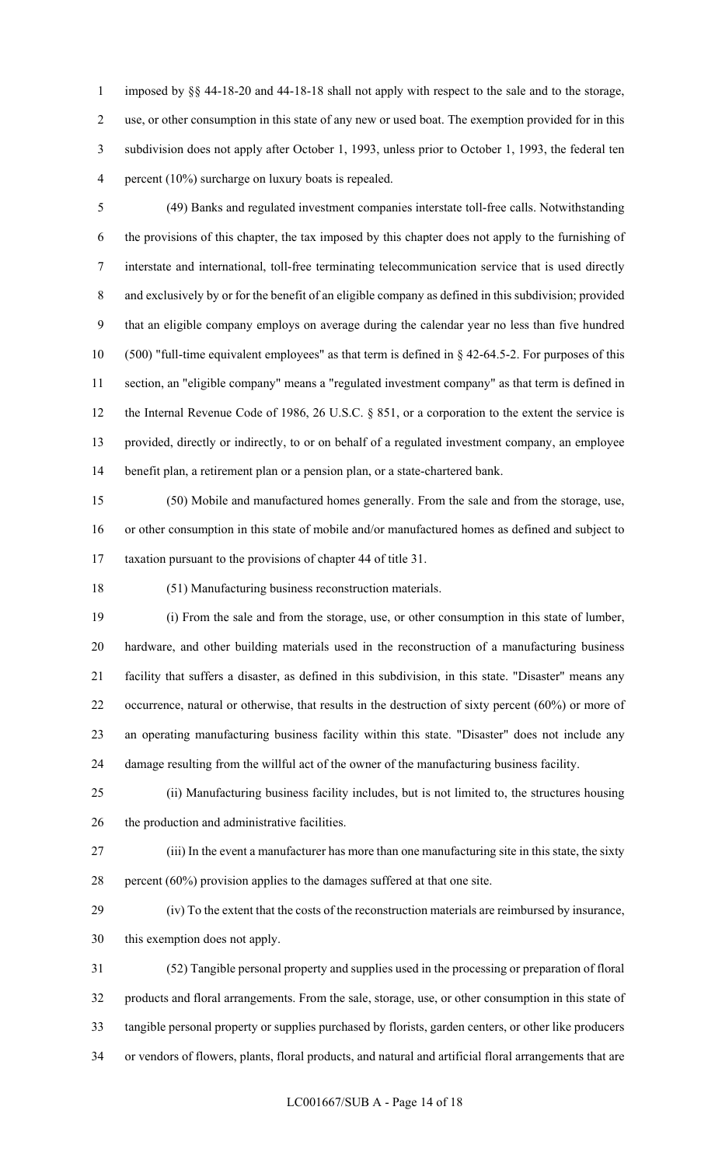1 imposed by §§ 44-18-20 and 44-18-18 shall not apply with respect to the sale and to the storage, 2 use, or other consumption in this state of any new or used boat. The exemption provided for in this 3 subdivision does not apply after October 1, 1993, unless prior to October 1, 1993, the federal ten 4 percent (10%) surcharge on luxury boats is repealed.

5 (49) Banks and regulated investment companies interstate toll-free calls. Notwithstanding 6 the provisions of this chapter, the tax imposed by this chapter does not apply to the furnishing of 7 interstate and international, toll-free terminating telecommunication service that is used directly 8 and exclusively by or for the benefit of an eligible company as defined in this subdivision; provided 9 that an eligible company employs on average during the calendar year no less than five hundred 10 (500) "full-time equivalent employees" as that term is defined in § 42-64.5-2. For purposes of this 11 section, an "eligible company" means a "regulated investment company" as that term is defined in 12 the Internal Revenue Code of 1986, 26 U.S.C. § 851, or a corporation to the extent the service is 13 provided, directly or indirectly, to or on behalf of a regulated investment company, an employee 14 benefit plan, a retirement plan or a pension plan, or a state-chartered bank.

15 (50) Mobile and manufactured homes generally. From the sale and from the storage, use, 16 or other consumption in this state of mobile and/or manufactured homes as defined and subject to 17 taxation pursuant to the provisions of chapter 44 of title 31.

18 (51) Manufacturing business reconstruction materials.

19 (i) From the sale and from the storage, use, or other consumption in this state of lumber, 20 hardware, and other building materials used in the reconstruction of a manufacturing business 21 facility that suffers a disaster, as defined in this subdivision, in this state. "Disaster" means any 22 occurrence, natural or otherwise, that results in the destruction of sixty percent (60%) or more of 23 an operating manufacturing business facility within this state. "Disaster" does not include any 24 damage resulting from the willful act of the owner of the manufacturing business facility.

25 (ii) Manufacturing business facility includes, but is not limited to, the structures housing 26 the production and administrative facilities.

27 (iii) In the event a manufacturer has more than one manufacturing site in this state, the sixty 28 percent (60%) provision applies to the damages suffered at that one site.

29 (iv) To the extent that the costs of the reconstruction materials are reimbursed by insurance, 30 this exemption does not apply.

31 (52) Tangible personal property and supplies used in the processing or preparation of floral 32 products and floral arrangements. From the sale, storage, use, or other consumption in this state of 33 tangible personal property or supplies purchased by florists, garden centers, or other like producers 34 or vendors of flowers, plants, floral products, and natural and artificial floral arrangements that are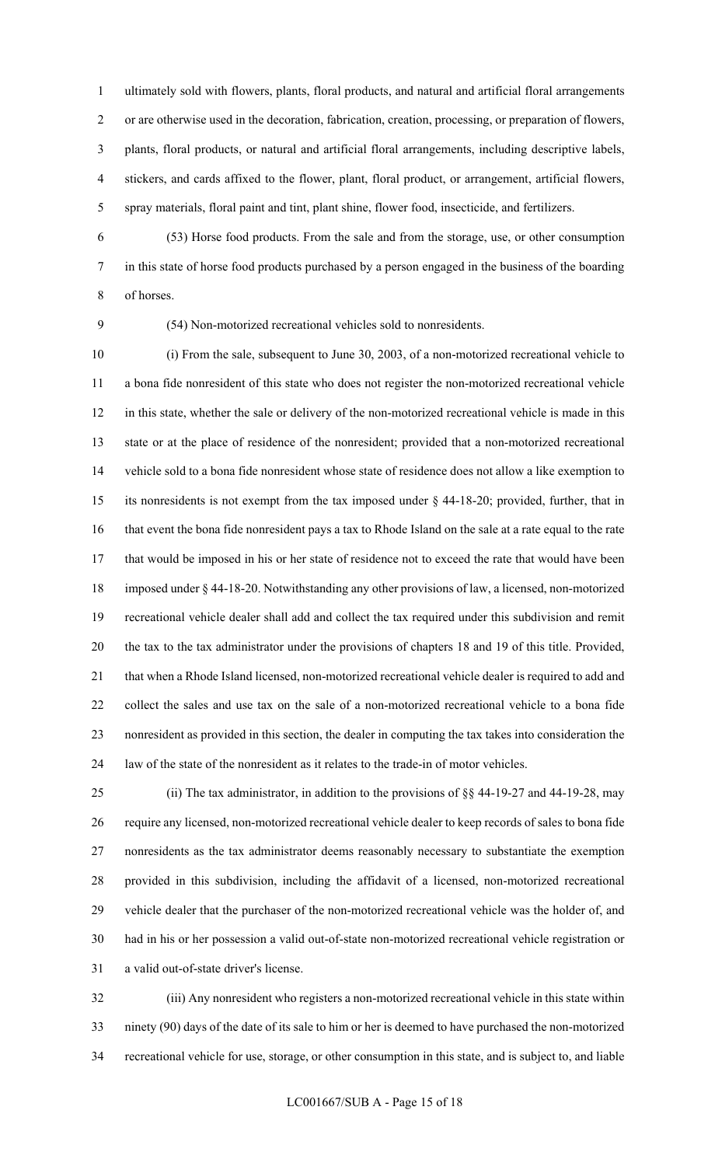1 ultimately sold with flowers, plants, floral products, and natural and artificial floral arrangements 2 or are otherwise used in the decoration, fabrication, creation, processing, or preparation of flowers, 3 plants, floral products, or natural and artificial floral arrangements, including descriptive labels, 4 stickers, and cards affixed to the flower, plant, floral product, or arrangement, artificial flowers, 5 spray materials, floral paint and tint, plant shine, flower food, insecticide, and fertilizers.

6 (53) Horse food products. From the sale and from the storage, use, or other consumption 7 in this state of horse food products purchased by a person engaged in the business of the boarding 8 of horses.

9 (54) Non-motorized recreational vehicles sold to nonresidents.

10 (i) From the sale, subsequent to June 30, 2003, of a non-motorized recreational vehicle to 11 a bona fide nonresident of this state who does not register the non-motorized recreational vehicle 12 in this state, whether the sale or delivery of the non-motorized recreational vehicle is made in this 13 state or at the place of residence of the nonresident; provided that a non-motorized recreational 14 vehicle sold to a bona fide nonresident whose state of residence does not allow a like exemption to 15 its nonresidents is not exempt from the tax imposed under § 44-18-20; provided, further, that in 16 that event the bona fide nonresident pays a tax to Rhode Island on the sale at a rate equal to the rate 17 that would be imposed in his or her state of residence not to exceed the rate that would have been 18 imposed under § 44-18-20. Notwithstanding any other provisions of law, a licensed, non-motorized 19 recreational vehicle dealer shall add and collect the tax required under this subdivision and remit 20 the tax to the tax administrator under the provisions of chapters 18 and 19 of this title. Provided, 21 that when a Rhode Island licensed, non-motorized recreational vehicle dealer is required to add and 22 collect the sales and use tax on the sale of a non-motorized recreational vehicle to a bona fide 23 nonresident as provided in this section, the dealer in computing the tax takes into consideration the 24 law of the state of the nonresident as it relates to the trade-in of motor vehicles.

25 (ii) The tax administrator, in addition to the provisions of §§ 44-19-27 and 44-19-28, may 26 require any licensed, non-motorized recreational vehicle dealer to keep records of sales to bona fide 27 nonresidents as the tax administrator deems reasonably necessary to substantiate the exemption 28 provided in this subdivision, including the affidavit of a licensed, non-motorized recreational 29 vehicle dealer that the purchaser of the non-motorized recreational vehicle was the holder of, and 30 had in his or her possession a valid out-of-state non-motorized recreational vehicle registration or 31 a valid out-of-state driver's license.

32 (iii) Any nonresident who registers a non-motorized recreational vehicle in this state within 33 ninety (90) days of the date of its sale to him or her is deemed to have purchased the non-motorized 34 recreational vehicle for use, storage, or other consumption in this state, and is subject to, and liable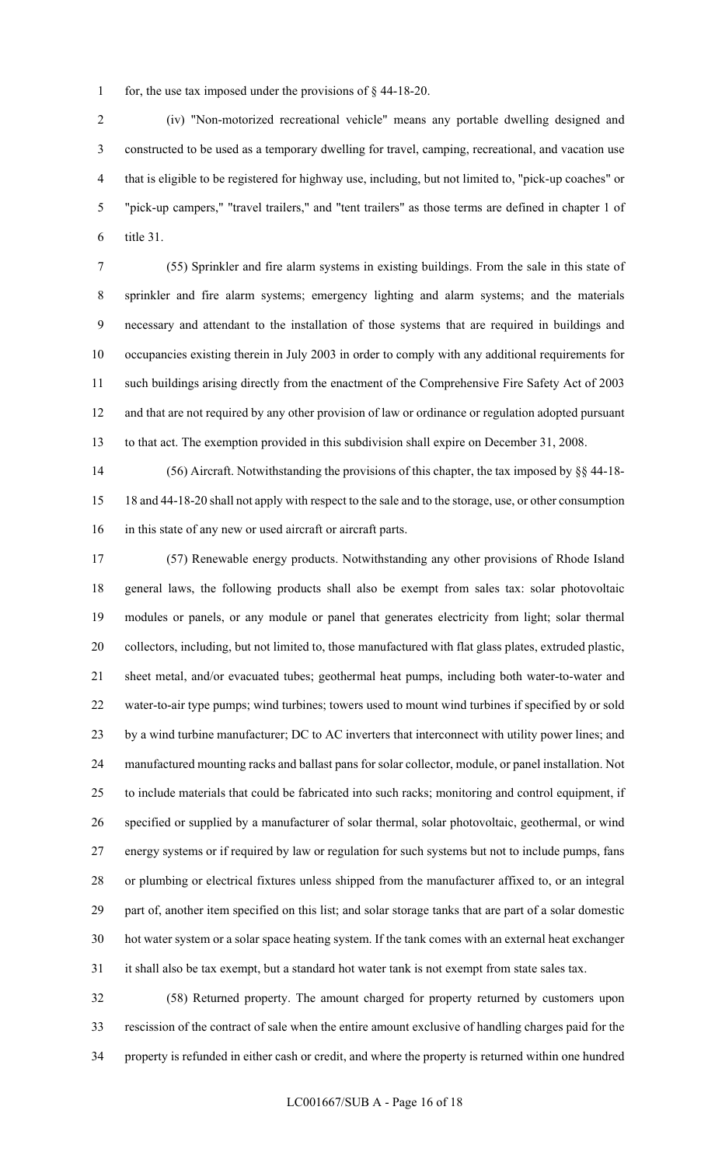1 for, the use tax imposed under the provisions of § 44-18-20.

2 (iv) "Non-motorized recreational vehicle" means any portable dwelling designed and 3 constructed to be used as a temporary dwelling for travel, camping, recreational, and vacation use 4 that is eligible to be registered for highway use, including, but not limited to, "pick-up coaches" or 5 "pick-up campers," "travel trailers," and "tent trailers" as those terms are defined in chapter 1 of 6 title 31.

7 (55) Sprinkler and fire alarm systems in existing buildings. From the sale in this state of 8 sprinkler and fire alarm systems; emergency lighting and alarm systems; and the materials 9 necessary and attendant to the installation of those systems that are required in buildings and 10 occupancies existing therein in July 2003 in order to comply with any additional requirements for 11 such buildings arising directly from the enactment of the Comprehensive Fire Safety Act of 2003 12 and that are not required by any other provision of law or ordinance or regulation adopted pursuant 13 to that act. The exemption provided in this subdivision shall expire on December 31, 2008.

14 (56) Aircraft. Notwithstanding the provisions of this chapter, the tax imposed by §§ 44-18- 15 18 and 44-18-20 shall not apply with respect to the sale and to the storage, use, or other consumption 16 in this state of any new or used aircraft or aircraft parts.

17 (57) Renewable energy products. Notwithstanding any other provisions of Rhode Island 18 general laws, the following products shall also be exempt from sales tax: solar photovoltaic 19 modules or panels, or any module or panel that generates electricity from light; solar thermal 20 collectors, including, but not limited to, those manufactured with flat glass plates, extruded plastic, 21 sheet metal, and/or evacuated tubes; geothermal heat pumps, including both water-to-water and 22 water-to-air type pumps; wind turbines; towers used to mount wind turbines if specified by or sold 23 by a wind turbine manufacturer; DC to AC inverters that interconnect with utility power lines; and 24 manufactured mounting racks and ballast pans for solar collector, module, or panel installation. Not 25 to include materials that could be fabricated into such racks; monitoring and control equipment, if 26 specified or supplied by a manufacturer of solar thermal, solar photovoltaic, geothermal, or wind 27 energy systems or if required by law or regulation for such systems but not to include pumps, fans 28 or plumbing or electrical fixtures unless shipped from the manufacturer affixed to, or an integral 29 part of, another item specified on this list; and solar storage tanks that are part of a solar domestic 30 hot water system or a solar space heating system. If the tank comes with an external heat exchanger 31 it shall also be tax exempt, but a standard hot water tank is not exempt from state sales tax.

32 (58) Returned property. The amount charged for property returned by customers upon 33 rescission of the contract of sale when the entire amount exclusive of handling charges paid for the 34 property is refunded in either cash or credit, and where the property is returned within one hundred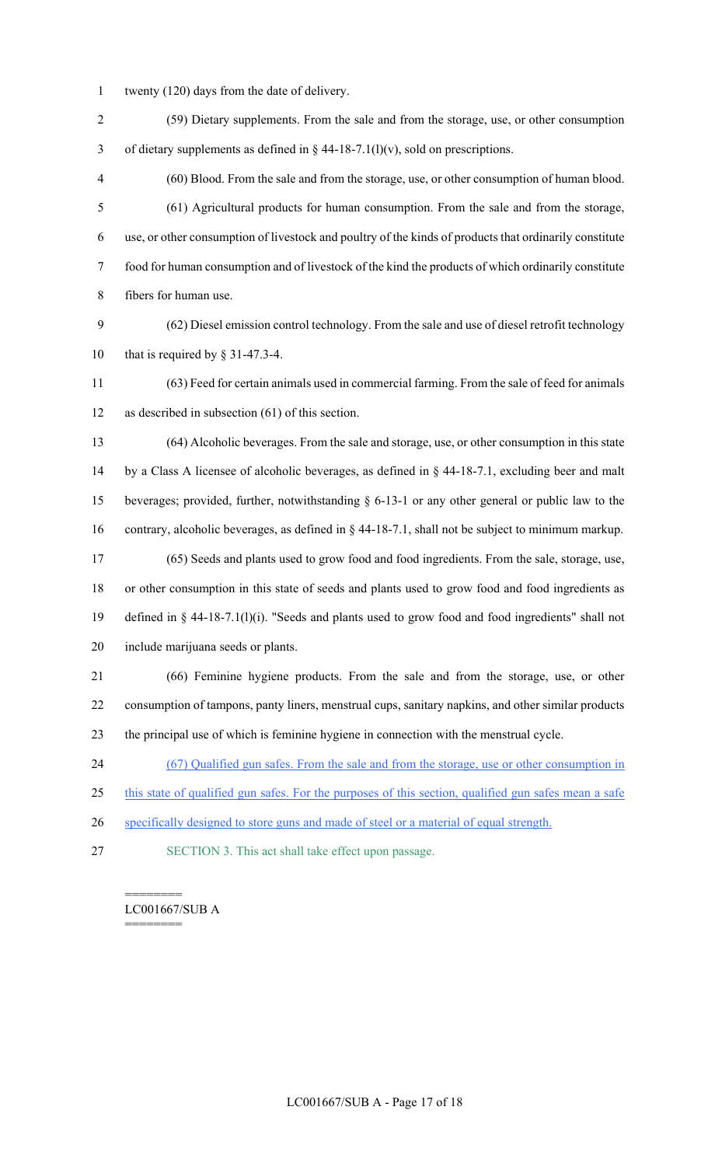- 1 twenty (120) days from the date of delivery.
- 2 (59) Dietary supplements. From the sale and from the storage, use, or other consumption 3 of dietary supplements as defined in  $\S$  44-18-7.1(l)(v), sold on prescriptions.
- 4 (60) Blood. From the sale and from the storage, use, or other consumption of human blood. 5 (61) Agricultural products for human consumption. From the sale and from the storage, 6 use, or other consumption of livestock and poultry of the kinds of products that ordinarily constitute 7 food for human consumption and of livestock of the kind the products of which ordinarily constitute 8 fibers for human use.
- 9 (62) Diesel emission control technology. From the sale and use of diesel retrofit technology 10 that is required by § 31-47.3-4.
- 11 (63) Feed for certain animals used in commercial farming. From the sale of feed for animals 12 as described in subsection (61) of this section.
- 13 (64) Alcoholic beverages. From the sale and storage, use, or other consumption in this state 14 by a Class A licensee of alcoholic beverages, as defined in § 44-18-7.1, excluding beer and malt 15 beverages; provided, further, notwithstanding § 6-13-1 or any other general or public law to the 16 contrary, alcoholic beverages, as defined in § 44-18-7.1, shall not be subject to minimum markup. 17 (65) Seeds and plants used to grow food and food ingredients. From the sale, storage, use, 18 or other consumption in this state of seeds and plants used to grow food and food ingredients as 19 defined in § 44-18-7.1(l)(i). "Seeds and plants used to grow food and food ingredients" shall not
- 20 include marijuana seeds or plants.
- 21 (66) Feminine hygiene products. From the sale and from the storage, use, or other 22 consumption of tampons, panty liners, menstrual cups, sanitary napkins, and other similar products 23 the principal use of which is feminine hygiene in connection with the menstrual cycle.
- 24 (67) Qualified gun safes. From the sale and from the storage, use or other consumption in
- 25 this state of qualified gun safes. For the purposes of this section, qualified gun safes mean a safe
- 26 specifically designed to store guns and made of steel or a material of equal strength.
- 27 SECTION 3. This act shall take effect upon passage.

#### ======== LC001667/SUB A ========